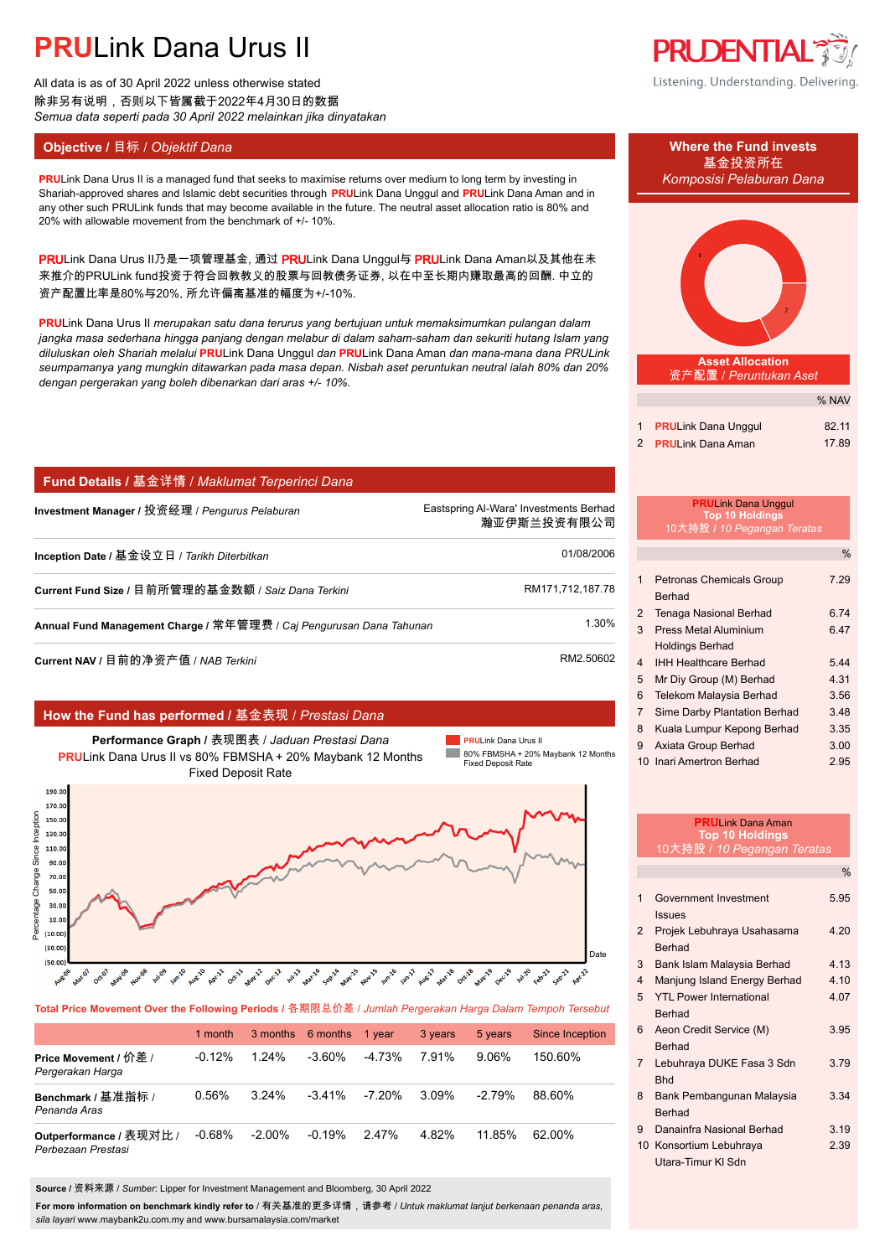All data is as of 30 April 2022 unless otherwise stated 除非另有说明,否则以下皆属截于2022年4月30日的数据 *Semua data seperti pada 30 April 2022 melainkan jika dinyatakan*

# **Objective /** 目标 / *Objektif Dana* **Where the Fund invests**

**PRULink Dana Urus II is a managed fund that seeks to maximise returns over medium to long term by investing in** *Komposisi Pelaburan Dana* Shariah-approved shares and Islamic debt securities through **PRU**Link Dana Unggul and **PRU**Link Dana Aman and in any other such PRULink funds that may become available in the future. The neutral asset allocation ratio is 80% and 20% with allowable movement from the benchmark of +/- 10%.

PRULink Dana Urus II乃是一项管理基金, 通过 PRULink Dana Unggul与 PRULink Dana Aman以及其他在未 来推介的PRULink fund投资于符合回教教义的股票与回教债务证券, 以在中至长期内赚取最高的回酬. 中立的 资产配置比率是80%与20%, 所允许偏离基准的幅度为+/-10%.

**PRU**Link Dana Urus II *merupakan satu dana terurus yang bertujuan untuk memaksimumkan pulangan dalam jangka masa sederhana hingga panjang dengan melabur di dalam saham-saham dan sekuriti hutang Islam yang diluluskan oleh Shariah melalui* **PRU**Link Dana Unggul *dan* **PRU**Link Dana Aman *dan mana-mana dana PRULink seumpamanya yang mungkin ditawarkan pada masa depan. Nisbah aset peruntukan neutral ialah 80% dan 20% dengan pergerakan yang boleh dibenarkan dari aras +/- 10%.*

# **Fund Details /** 基金详情 / *Maklumat Terperinci Dana*

**Investment Manager /** 投资经理 / *Pengurus Pelaburan* Eastspring Al-Wara' Investments Berhad.

**Inception Date /** 基金设立日 / *Tarikh Diterbitkan* 01/08/2006.

**Current Fund Size /** 目前所管理的基金数额 / *Saiz Dana Terkini* RM171,712,187.78.

**Annual Fund Management Charge /** 常年管理费 / *Caj Pengurusan Dana Tahunan* 1.30%.

**Current NAV /** 目前的净资产值 / *NAB Terkini* RM2.50602.

# **How the Fund has performed /** 基金表现 / *Prestasi Dana*



**Total Price Movement Over the Following Periods /** 各期限总价差 / *Jumlah Pergerakan Harga Dalam Tempoh Tersebut*

|                                               | 1 month  |           | 3 months 6 months | 1 vear  | 3 years | 5 years  | Since Inception |
|-----------------------------------------------|----------|-----------|-------------------|---------|---------|----------|-----------------|
| Price Movement / 价差 /<br>Pergerakan Harga     | $-0.12%$ | $1.24\%$  | $-3.60\%$         | $-473%$ | 7.91%   | 9.06%    | 150.60%         |
| Benchmark / 基准指标 /<br>Penanda Aras            | 0.56%    | $3.24\%$  | $-3.41\%$         | -7.20%  | 3.09%   | $-2.79%$ | 88.60%          |
| Outperformance / 表现对比 /<br>Perbezaan Prestasi | $-0.68%$ | $-2.00\%$ | $-0.19%$          | 2.47%   | 4.82%   | 11.85%   | 62.00%          |

**Source /** 资料来源 / *Sumber*: Lipper for Investment Management and Bloomberg, 30 April 2022

**For more information on benchmark kindly refer to** / 有关基准的更多详情,请参考 / *Untuk maklumat lanjut berkenaan penanda aras, sila layari* www.maybank2u.com.my and www.bursamalaysia.com/market



Listening. Understanding. Delivering.

# 基金投资所在



|                              | % NAV |
|------------------------------|-------|
| 1 <b>PRULink Dana Unggul</b> | 82.11 |
| 2 <b>PRULink Dana Aman</b>   | 17.89 |

#### **PRU**Link Dana Unggul **Top 10 Holdings** 10大持股 **/** *10 Pegangan Teratas*

瀚亚伊斯兰投资有限公司.

|                |                                                  | %    |
|----------------|--------------------------------------------------|------|
| 1              | <b>Petronas Chemicals Group</b><br><b>Berhad</b> | 7.29 |
| 2              | <b>Tenaga Nasional Berhad</b>                    | 674  |
| 3              | Press Metal Aluminium                            | 6.47 |
|                | <b>Holdings Berhad</b>                           |      |
| 4              | <b>IHH Healthcare Berhad</b>                     | 5.44 |
| 5              | Mr Div Group (M) Berhad                          | 4.31 |
| 6              | Telekom Malaysia Berhad                          | 3.56 |
| $\overline{7}$ | Sime Darby Plantation Berhad                     | 3.48 |
| 8              | Kuala Lumpur Kepong Berhad                       | 3.35 |
| 9              | Axiata Group Berhad                              | 3.00 |
| 10             | Inari Amertron Berhad                            | 2.95 |

|                                                       | <b>PRU</b> Link Dana Aman                                                                     |               |  |
|-------------------------------------------------------|-----------------------------------------------------------------------------------------------|---------------|--|
| <b>Top 10 Holdings</b><br>10大持股 / 10 Pegangan Teratas |                                                                                               |               |  |
|                                                       |                                                                                               | $\frac{0}{0}$ |  |
|                                                       |                                                                                               |               |  |
| 1                                                     | Government Investment                                                                         | 595           |  |
|                                                       | <b>Issues</b>                                                                                 |               |  |
| $\overline{2}$                                        | Projek Lebuhraya Usahasama                                                                    | 4.20          |  |
|                                                       | <b>Berhad</b>                                                                                 |               |  |
| 3                                                     | Bank Islam Malaysia Berhad                                                                    | 4 1 3         |  |
| $\Delta$                                              | Manjung Island Energy Berhad                                                                  | 410           |  |
| 5                                                     | <b>YTI Power International</b>                                                                | 4.07          |  |
|                                                       | <b>Rerhad</b>                                                                                 |               |  |
| 6                                                     | Aeon Credit Service (M)                                                                       | 3 95          |  |
|                                                       | <b>Berhad</b>                                                                                 |               |  |
| $\overline{7}$                                        | Lebuhraya DUKE Fasa 3 Sdn                                                                     | 3 7 9         |  |
|                                                       | <b>Bhd</b>                                                                                    |               |  |
|                                                       |                                                                                               |               |  |
|                                                       |                                                                                               |               |  |
|                                                       |                                                                                               |               |  |
|                                                       | 10 Konsortium Lebuhraya                                                                       | 2.39          |  |
|                                                       |                                                                                               |               |  |
| 8<br>9                                                | Bank Pembangunan Malaysia<br><b>Berhad</b><br>Danainfra Nasional Berhad<br>Utara-Timur KI Sdn | 3.34<br>3.19  |  |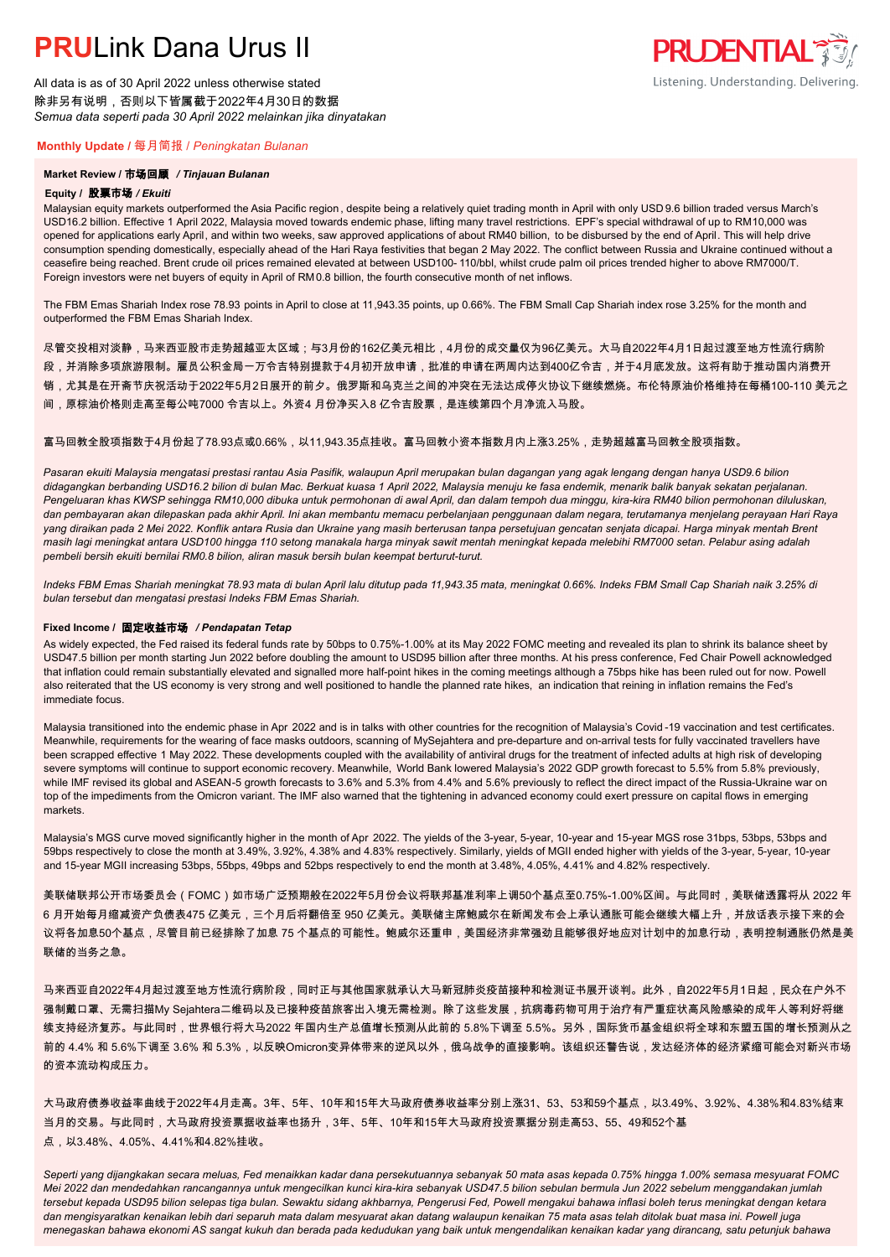All data is as of 30 April 2022 unless otherwise stated 除非另有说明,否则以下皆属截于2022年4月30日的数据 *Semua data seperti pada 30 April 2022 melainkan jika dinyatakan*

# **Monthly Update /** 每月简报 / *Peningkatan Bulanan*

## **Market Review /** 市场回顾 */ Tinjauan Bulanan*

### **Equity /** 股票市场 */ Ekuiti.*

Malaysian equity markets outperformed the Asia Pacific region , despite being a relatively quiet trading month in April with only USD 9.6 billion traded versus March's USD16.2 billion. Effective 1 April 2022, Malaysia moved towards endemic phase, lifting many travel restrictions. EPF's special withdrawal of up to RM10,000 was opened for applications early April, and within two weeks, saw approved applications of about RM40 billion, to be disbursed by the end of April. This will help drive consumption spending domestically, especially ahead of the Hari Raya festivities that began 2 May 2022. The conflict between Russia and Ukraine continued without a ceasefire being reached. Brent crude oil prices remained elevated at between USD100- 110/bbl, whilst crude palm oil prices trended higher to above RM7000/T. Foreign investors were net buyers of equity in April of RM0.8 billion, the fourth consecutive month of net inflows.

The FBM Emas Shariah Index rose 78.93 points in April to close at 11,943.35 points, up 0.66%. The FBM Small Cap Shariah index rose 3.25% for the month and outperformed the FBM Emas Shariah Index.

尽管交投相对淡静,马来西亚股市走势超越亚太区域;与3月份的162亿美元相比,4月份的成交量仅为96亿美元。大马自2022年4月1日起过渡至地方性流行病阶

- 段,并消除多项旅游限制。雇员公积金局一万令吉特别提款于4月初开放申请,批准的申请在两周内达到400亿令吉,并于4月底发放。这将有助于推动国内消费开
- 销,尤其是在开斋节庆祝活动于2022年5月2日展开的前夕。俄罗斯和乌克兰之间的冲突在无法达成停火协议下继续燃烧。布伦特原油价格维持在每桶100-110 美元之
- 间,原棕油价格则走高至每公吨7000 令吉以上。外资4 月份净买入8 亿令吉股票,是连续第四个月净流入马股。

### 富马回教全股项指数于4月份起了78.93点或0.66%,以11,943.35点挂收。富马回教小资本指数月内上涨3.25%,走势超越富马回教全股项指数。

*Pasaran ekuiti Malaysia mengatasi prestasi rantau Asia Pasifik, walaupun April merupakan bulan dagangan yang agak lengang dengan hanya USD9.6 bilion didagangkan berbanding USD16.2 bilion di bulan Mac. Berkuat kuasa 1 April 2022, Malaysia menuju ke fasa endemik, menarik balik banyak sekatan perjalanan. Pengeluaran khas KWSP sehingga RM10,000 dibuka untuk permohonan di awal April, dan dalam tempoh dua minggu, kira-kira RM40 bilion permohonan diluluskan, dan pembayaran akan dilepaskan pada akhir April. Ini akan membantu memacu perbelanjaan penggunaan dalam negara, terutamanya menjelang perayaan Hari Raya yang diraikan pada 2 Mei 2022. Konflik antara Rusia dan Ukraine yang masih berterusan tanpa persetujuan gencatan senjata dicapai. Harga minyak mentah Brent masih lagi meningkat antara USD100 hingga 110 setong manakala harga minyak sawit mentah meningkat kepada melebihi RM7000 setan. Pelabur asing adalah pembeli bersih ekuiti bernilai RM0.8 bilion, aliran masuk bersih bulan keempat berturut-turut.*

*Indeks FBM Emas Shariah meningkat 78.93 mata di bulan April lalu ditutup pada 11,943.35 mata, meningkat 0.66%. Indeks FBM Small Cap Shariah naik 3.25% di bulan tersebut dan mengatasi prestasi Indeks FBM Emas Shariah.*

### **Fixed Income /** 固定收益市场 */ Pendapatan Tetap*

*.* As widely expected, the Fed raised its federal funds rate by 50bps to 0.75%-1.00% at its May 2022 FOMC meeting and revealed its plan to shrink its balance sheet by USD47.5 billion per month starting Jun 2022 before doubling the amount to USD95 billion after three months. At his press conference, Fed Chair Powell acknowledged that inflation could remain substantially elevated and signalled more half-point hikes in the coming meetings although a 75bps hike has been ruled out for now. Powell also reiterated that the US economy is very strong and well positioned to handle the planned rate hikes, an indication that reining in inflation remains the Fed's immediate focus.

Malaysia transitioned into the endemic phase in Apr 2022 and is in talks with other countries for the recognition of Malaysia's Covid -19 vaccination and test certificates. Meanwhile, requirements for the wearing of face masks outdoors, scanning of MySejahtera and pre-departure and on-arrival tests for fully vaccinated travellers have been scrapped effective 1 May 2022. These developments coupled with the availability of antiviral drugs for the treatment of infected adults at high risk of developing severe symptoms will continue to support economic recovery. Meanwhile, World Bank lowered Malaysia's 2022 GDP growth forecast to 5.5% from 5.8% previously, while IMF revised its global and ASEAN-5 growth forecasts to 3.6% and 5.3% from 4.4% and 5.6% previously to reflect the direct impact of the Russia-Ukraine war on top of the impediments from the Omicron variant. The IMF also warned that the tightening in advanced economy could exert pressure on capital flows in emerging markets.

Malaysia's MGS curve moved significantly higher in the month of Apr 2022. The yields of the 3-year, 5-year, 10-year and 15-year MGS rose 31bps, 53bps, 53bps and 59bps respectively to close the month at 3.49%, 3.92%, 4.38% and 4.83% respectively. Similarly, yields of MGII ended higher with yields of the 3-year, 5-year, 10-year and 15-year MGII increasing 53bps, 55bps, 49bps and 52bps respectively to end the month at 3.48%, 4.05%, 4.41% and 4.82% respectively.

美联储联邦公开市场委员会(FOMC)如市场广泛预期般在2022年5月份会议将联邦基准利率上调50个基点至0.75%-1.00%区间。与此同时,美联储透露将从 2022 年 6 月开始每月缩减资产负债表475 亿美元,三个月后将翻倍至 950 亿美元。美联储主席鲍威尔在新闻发布会上承认通胀可能会继续大幅上升,并放话表示接下来的会 议将各加息50个基点,尽管目前已经排除了加息 75 个基点的可能性。鲍威尔还重申,美国经济非常强劲且能够很好地应对计划中的加息行动,表明控制通胀仍然是美 联储的当务之急。

马来西亚自2022年4月起过渡至地方性流行病阶段,同时正与其他国家就承认大马新冠肺炎疫苗接种和检测证书展开谈判。此外,自2022年5月1日起,民众在户外不 强制戴口罩、无需扫描My Sejahtera二维码以及已接种疫苗旅客出入境无需检测。除了这些发展,抗病毒药物可用于治疗有严重症状高风险感染的成年人等利好将继 续支持经济复苏。与此同时,世界银行将大马2022 年国内生产总值增长预测从此前的 5.8%下调至 5.5%。另外,国际货币基金组织将全球和东盟五国的增长预测从之 前的 4.4% 和 5.6%下调至 3.6% 和 5.3%,以反映Omicron变异体带来的逆风以外,俄乌战争的直接影响。该组织还警告说,发达经济体的经济紧缩可能会对新兴市场 的资本流动构成压力。

大马政府债券收益率曲线于2022年4月走高。3年、5年、10年和15年大马政府债券收益率分别上涨31、53、53和59个基点,以3.49%、3.92%、4.38%和4.83%结束 当月的交易。与此同时,大马政府投资票据收益率也扬升,3年、5年、10年和15年大马政府投资票据分别走高53、55、49和52个基 点,以3.48%、4.05%、4.41%和4.82%挂收。

*Seperti yang dijangkakan secara meluas, Fed menaikkan kadar dana persekutuannya sebanyak 50 mata asas kepada 0.75% hingga 1.00% semasa mesyuarat FOMC Mei 2022 dan mendedahkan rancangannya untuk mengecilkan kunci kira-kira sebanyak USD47.5 bilion sebulan bermula Jun 2022 sebelum menggandakan jumlah tersebut kepada USD95 bilion selepas tiga bulan. Sewaktu sidang akhbarnya, Pengerusi Fed, Powell mengakui bahawa inflasi boleh terus meningkat dengan ketara dan mengisyaratkan kenaikan lebih dari separuh mata dalam mesyuarat akan datang walaupun kenaikan 75 mata asas telah ditolak buat masa ini. Powell juga menegaskan bahawa ekonomi AS sangat kukuh dan berada pada kedudukan yang baik untuk mengendalikan kenaikan kadar yang dirancang, satu petunjuk bahawa* 

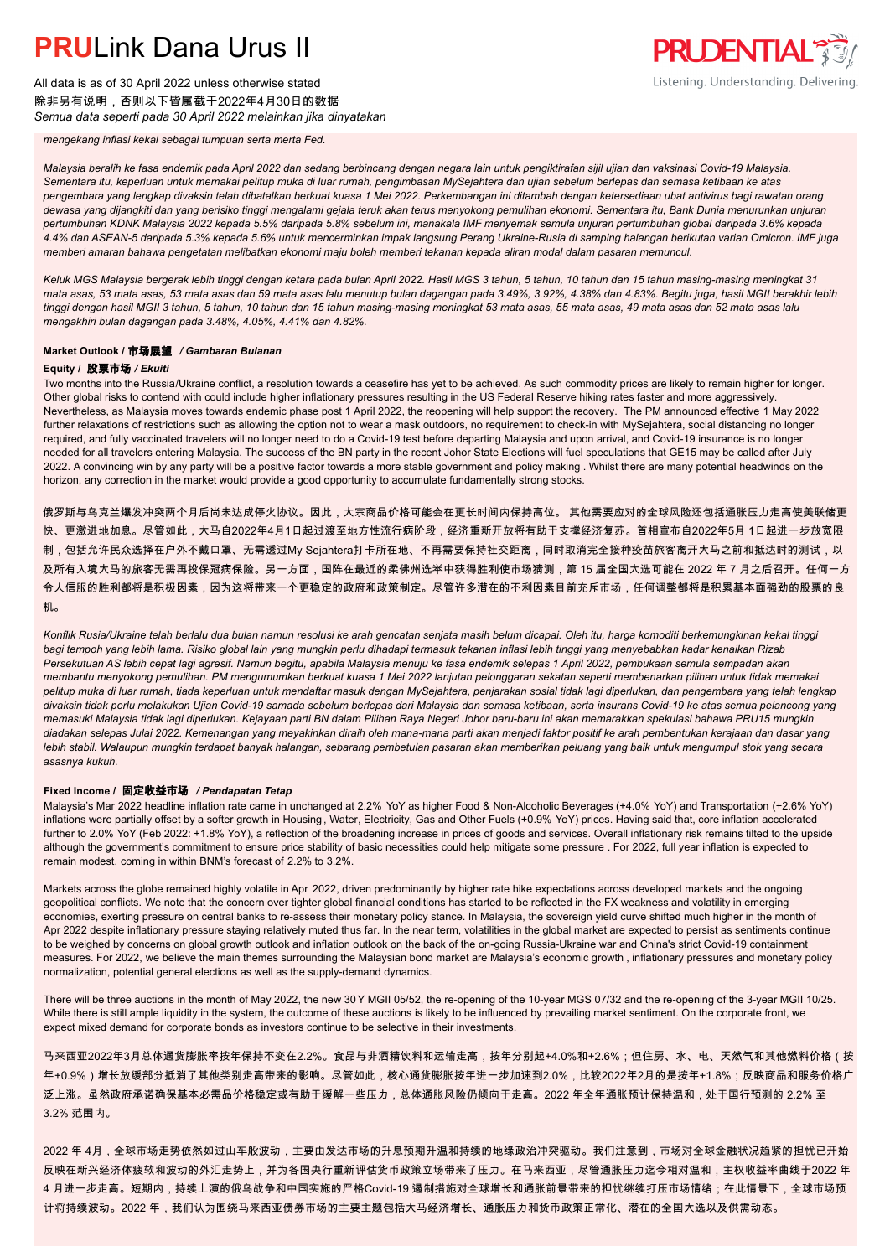All data is as of 30 April 2022 unless otherwise stated 除非另有说明,否则以下皆属截于2022年4月30日的数据 *Semua data seperti pada 30 April 2022 melainkan jika dinyatakan* **PRUDENTIAL** Listening. Understanding. Delivering.

*mengekang inflasi kekal sebagai tumpuan serta merta Fed.*

*Malaysia beralih ke fasa endemik pada April 2022 dan sedang berbincang dengan negara lain untuk pengiktirafan sijil ujian dan vaksinasi Covid-19 Malaysia. Sementara itu, keperluan untuk memakai pelitup muka di luar rumah, pengimbasan MySejahtera dan ujian sebelum berlepas dan semasa ketibaan ke atas pengembara yang lengkap divaksin telah dibatalkan berkuat kuasa 1 Mei 2022. Perkembangan ini ditambah dengan ketersediaan ubat antivirus bagi rawatan orang dewasa yang dijangkiti dan yang berisiko tinggi mengalami gejala teruk akan terus menyokong pemulihan ekonomi. Sementara itu, Bank Dunia menurunkan unjuran pertumbuhan KDNK Malaysia 2022 kepada 5.5% daripada 5.8% sebelum ini, manakala IMF menyemak semula unjuran pertumbuhan global daripada 3.6% kepada 4.4% dan ASEAN-5 daripada 5.3% kepada 5.6% untuk mencerminkan impak langsung Perang Ukraine-Rusia di samping halangan berikutan varian Omicron. IMF juga memberi amaran bahawa pengetatan melibatkan ekonomi maju boleh memberi tekanan kepada aliran modal dalam pasaran memuncul.*

*Keluk MGS Malaysia bergerak lebih tinggi dengan ketara pada bulan April 2022. Hasil MGS 3 tahun, 5 tahun, 10 tahun dan 15 tahun masing-masing meningkat 31 mata asas, 53 mata asas, 53 mata asas dan 59 mata asas lalu menutup bulan dagangan pada 3.49%, 3.92%, 4.38% dan 4.83%. Begitu juga, hasil MGII berakhir lebih tinggi dengan hasil MGII 3 tahun, 5 tahun, 10 tahun dan 15 tahun masing-masing meningkat 53 mata asas, 55 mata asas, 49 mata asas dan 52 mata asas lalu mengakhiri bulan dagangan pada 3.48%, 4.05%, 4.41% dan 4.82%.*

#### **Market Outlook /** 市场展望 */ Gambaran Bulanan*

#### **Equity /** 股票市场 */ Ekuiti*

Two months into the Russia/Ukraine conflict, a resolution towards a ceasefire has yet to be achieved. As such commodity prices are likely to remain higher for longer. Other global risks to contend with could include higher inflationary pressures resulting in the US Federal Reserve hiking rates faster and more aggressively. Nevertheless, as Malaysia moves towards endemic phase post 1 April 2022, the reopening will help support the recovery. The PM announced effective 1 May 2022 further relaxations of restrictions such as allowing the option not to wear a mask outdoors, no requirement to check-in with MySejahtera, social distancing no longer required, and fully vaccinated travelers will no longer need to do a Covid-19 test before departing Malaysia and upon arrival, and Covid-19 insurance is no longer needed for all travelers entering Malaysia. The success of the BN party in the recent Johor State Elections will fuel speculations that GE15 may be called after July 2022. A convincing win by any party will be a positive factor towards a more stable government and policy making . Whilst there are many potential headwinds on the horizon, any correction in the market would provide a good opportunity to accumulate fundamentally strong stocks.

俄罗斯与乌克兰爆发冲突两个月后尚未达成停火协议。因此,大宗商品价格可能会在更长时间内保持高位。 其他需要应对的全球风险还包括通胀压力走高使美联储更 快、更激进地加息。尽管如此,大马自2022年4月1日起过渡至地方性流行病阶段,经济重新开放将有助于支撑经济复苏。首相宣布自2022年5月 1日起进一步放宽限 制,包括允许民众选择在户外不戴口罩、无需透过My Sejahtera打卡所在地、不再需要保持社交距离,同时取消完全接种疫苗旅客离开大马之前和抵达时的测试,以 及所有入境大马的旅客无需再投保冠病保险。另一方面,国阵在最近的柔佛州选举中获得胜利使市场猜测,第 15 届全国大选可能在 2022 年 7 月之后召开。任何一方 令人信服的胜利都将是积极因素,因为这将带来一个更稳定的政府和政策制定。尽管许多潜在的不利因素目前充斥市场,任何调整都将是积累基本面强劲的股票的良 机。

*Konflik Rusia/Ukraine telah berlalu dua bulan namun resolusi ke arah gencatan senjata masih belum dicapai. Oleh itu, harga komoditi berkemungkinan kekal tinggi bagi tempoh yang lebih lama. Risiko global lain yang mungkin perlu dihadapi termasuk tekanan inflasi lebih tinggi yang menyebabkan kadar kenaikan Rizab Persekutuan AS lebih cepat lagi agresif. Namun begitu, apabila Malaysia menuju ke fasa endemik selepas 1 April 2022, pembukaan semula sempadan akan membantu menyokong pemulihan. PM mengumumkan berkuat kuasa 1 Mei 2022 lanjutan pelonggaran sekatan seperti membenarkan pilihan untuk tidak memakai pelitup muka di luar rumah, tiada keperluan untuk mendaftar masuk dengan MySejahtera, penjarakan sosial tidak lagi diperlukan, dan pengembara yang telah lengkap divaksin tidak perlu melakukan Ujian Covid-19 samada sebelum berlepas dari Malaysia dan semasa ketibaan, serta insurans Covid-19 ke atas semua pelancong yang memasuki Malaysia tidak lagi diperlukan. Kejayaan parti BN dalam Pilihan Raya Negeri Johor baru-baru ini akan memarakkan spekulasi bahawa PRU15 mungkin diadakan selepas Julai 2022. Kemenangan yang meyakinkan diraih oleh mana-mana parti akan menjadi faktor positif ke arah pembentukan kerajaan dan dasar yang lebih stabil. Walaupun mungkin terdapat banyak halangan, sebarang pembetulan pasaran akan memberikan peluang yang baik untuk mengumpul stok yang secara asasnya kukuh.*

### **Fixed Income /** 固定收益市场 */ Pendapatan Tetap*

*.* Malaysia's Mar 2022 headline inflation rate came in unchanged at 2.2% YoY as higher Food & Non-Alcoholic Beverages (+4.0% YoY) and Transportation (+2.6% YoY) inflations were partially offset by a softer growth in Housing, Water, Electricity, Gas and Other Fuels (+0.9% YoY) prices. Having said that, core inflation accelerated further to 2.0% YoY (Feb 2022: +1.8% YoY), a reflection of the broadening increase in prices of goods and services. Overall inflationary risk remains tilted to the upside although the government's commitment to ensure price stability of basic necessities could help mitigate some pressure . For 2022, full year inflation is expected to remain modest, coming in within BNM's forecast of 2.2% to 3.2%.

Markets across the globe remained highly volatile in Apr 2022, driven predominantly by higher rate hike expectations across developed markets and the ongoing geopolitical conflicts. We note that the concern over tighter global financial conditions has started to be reflected in the FX weakness and volatility in emerging economies, exerting pressure on central banks to re-assess their monetary policy stance. In Malaysia, the sovereign yield curve shifted much higher in the month of Apr 2022 despite inflationary pressure staying relatively muted thus far. In the near term, volatilities in the global market are expected to persist as sentiments continue to be weighed by concerns on global growth outlook and inflation outlook on the back of the on-going Russia-Ukraine war and China's strict Covid-19 containment measures. For 2022, we believe the main themes surrounding the Malaysian bond market are Malaysia's economic growth , inflationary pressures and monetary policy normalization, potential general elections as well as the supply-demand dynamics.

There will be three auctions in the month of May 2022, the new 30Y MGII 05/52, the re-opening of the 10-year MGS 07/32 and the re-opening of the 3-year MGII 10/25. While there is still ample liquidity in the system, the outcome of these auctions is likely to be influenced by prevailing market sentiment. On the corporate front, we expect mixed demand for corporate bonds as investors continue to be selective in their investments.

马来西亚2022年3月总体通货膨胀率按年保持不变在2.2%。食品与非酒精饮料和运输走高,按年分别起+4.0%和+2.6%;但住房、水、电、天然气和其他燃料价格(按 年+0.9%)增长放缓部分抵消了其他类别走高带来的影响。尽管如此,核心通货膨胀按年进一步加速到2.0%,比较2022年2月的是按年+1.8%;反映商品和服务价格广 泛上涨。虽然政府承诺确保基本必需品价格稳定或有助于缓解一些压力,总体通胀风险仍倾向于走高。2022 年全年通胀预计保持温和,处于国行预测的 2.2% 至 3.2% 范围内。

2022 年 4月,全球市场走势依然如过山车般波动,主要由发达市场的升息预期升温和持续的地缘政治冲突驱动。我们注意到,市场对全球金融状况趋紧的担忧已开始 反映在新兴经济体疲软和波动的外汇走势上,并为各国央行重新评估货币政策立场带来了压力。在马来西亚,尽管通胀压力迄今相对温和,主权收益率曲线于2022 年 4 月进一步走高。短期内,持续上演的俄乌战争和中国实施的严格Covid-19 遏制措施对全球增长和通胀前景带来的担忧继续打压市场情绪;在此情景下,全球市场预 计将持续波动。2022 年,我们认为围绕马来西亚债券市场的主要主题包括大马经济增长、通胀压力和货币政策正常化、潜在的全国大选以及供需动态。